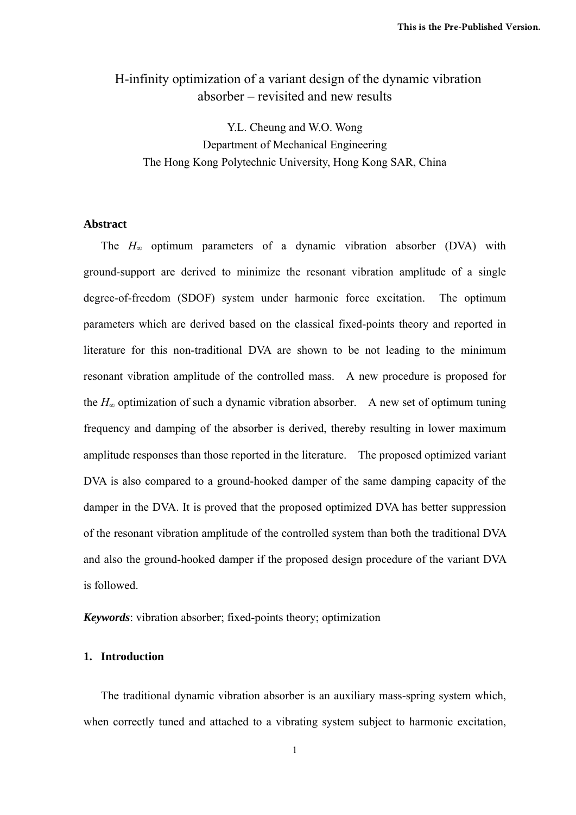# H-infinity optimization of a variant design of the dynamic vibration absorber – revisited and new results

Y.L. Cheung and W.O. Wong Department of Mechanical Engineering The Hong Kong Polytechnic University, Hong Kong SAR, China

## **Abstract**

The *H∞* optimum parameters of a dynamic vibration absorber (DVA) with ground-support are derived to minimize the resonant vibration amplitude of a single degree-of-freedom (SDOF) system under harmonic force excitation. The optimum parameters which are derived based on the classical fixed-points theory and reported in literature for this non-traditional DVA are shown to be not leading to the minimum resonant vibration amplitude of the controlled mass. A new procedure is proposed for the  $H_{\infty}$  optimization of such a dynamic vibration absorber. A new set of optimum tuning frequency and damping of the absorber is derived, thereby resulting in lower maximum amplitude responses than those reported in the literature. The proposed optimized variant DVA is also compared to a ground-hooked damper of the same damping capacity of the damper in the DVA. It is proved that the proposed optimized DVA has better suppression of the resonant vibration amplitude of the controlled system than both the traditional DVA and also the ground-hooked damper if the proposed design procedure of the variant DVA is followed.

*Keywords*: vibration absorber; fixed-points theory; optimization

#### **1. Introduction**

The traditional dynamic vibration absorber is an auxiliary mass-spring system which, when correctly tuned and attached to a vibrating system subject to harmonic excitation,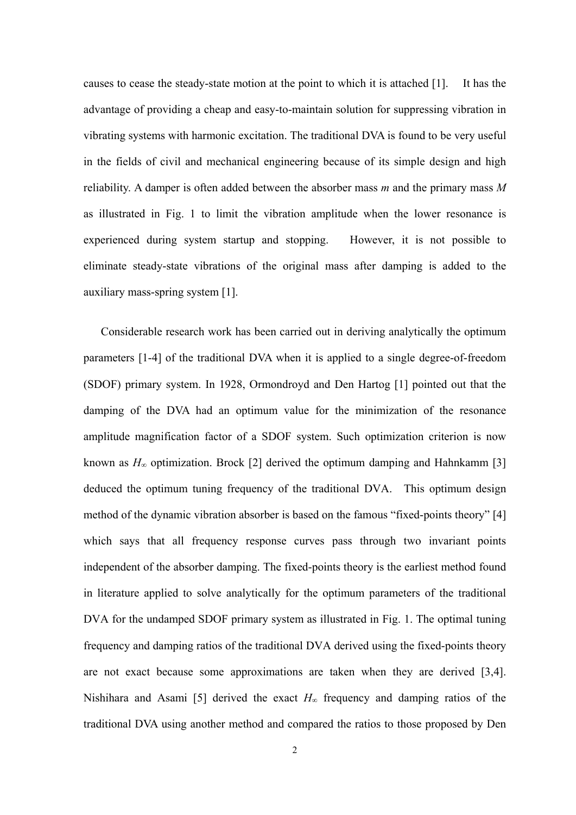causes to cease the steady-state motion at the point to which it is attached [1]. It has the advantage of providing a cheap and easy-to-maintain solution for suppressing vibration in vibrating systems with harmonic excitation. The traditional DVA is found to be very useful in the fields of civil and mechanical engineering because of its simple design and high reliability. A damper is often added between the absorber mass *m* and the primary mass *M* as illustrated in Fig. 1 to limit the vibration amplitude when the lower resonance is experienced during system startup and stopping. However, it is not possible to eliminate steady-state vibrations of the original mass after damping is added to the auxiliary mass-spring system [1].

Considerable research work has been carried out in deriving analytically the optimum parameters [1-4] of the traditional DVA when it is applied to a single degree-of-freedom (SDOF) primary system. In 1928, Ormondroyd and Den Hartog [1] pointed out that the damping of the DVA had an optimum value for the minimization of the resonance amplitude magnification factor of a SDOF system. Such optimization criterion is now known as  $H_{\infty}$  optimization. Brock [2] derived the optimum damping and Hahnkamm [3] deduced the optimum tuning frequency of the traditional DVA. This optimum design method of the dynamic vibration absorber is based on the famous "fixed-points theory" [4] which says that all frequency response curves pass through two invariant points independent of the absorber damping. The fixed-points theory is the earliest method found in literature applied to solve analytically for the optimum parameters of the traditional DVA for the undamped SDOF primary system as illustrated in Fig. 1. The optimal tuning frequency and damping ratios of the traditional DVA derived using the fixed-points theory are not exact because some approximations are taken when they are derived [3,4]. Nishihara and Asami [5] derived the exact  $H_\infty$  frequency and damping ratios of the traditional DVA using another method and compared the ratios to those proposed by Den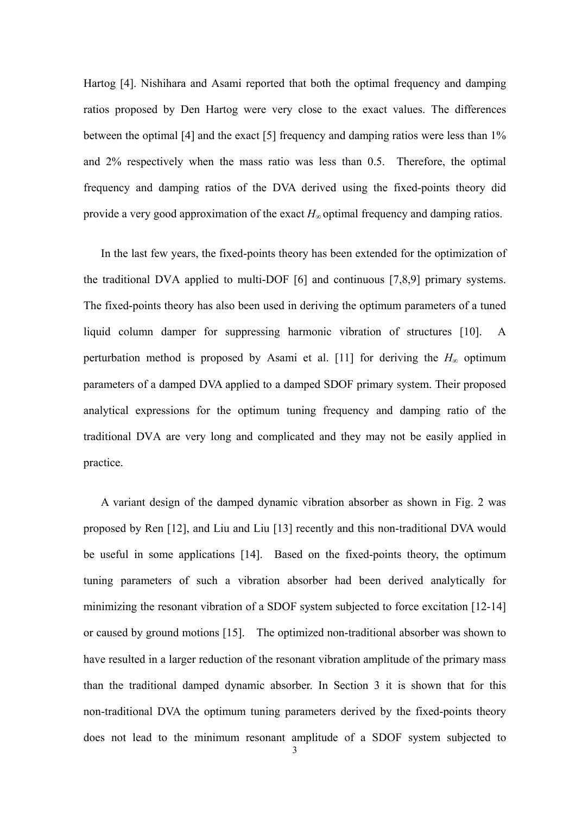Hartog [4]. Nishihara and Asami reported that both the optimal frequency and damping ratios proposed by Den Hartog were very close to the exact values. The differences between the optimal [4] and the exact [5] frequency and damping ratios were less than 1% and 2% respectively when the mass ratio was less than 0.5. Therefore, the optimal frequency and damping ratios of the DVA derived using the fixed-points theory did provide a very good approximation of the exact *H<sup>∞</sup>* optimal frequency and damping ratios.

In the last few years, the fixed-points theory has been extended for the optimization of the traditional DVA applied to multi-DOF [6] and continuous [7,8,9] primary systems. The fixed-points theory has also been used in deriving the optimum parameters of a tuned liquid column damper for suppressing harmonic vibration of structures [10]. A perturbation method is proposed by Asami et al. [11] for deriving the  $H_\infty$  optimum parameters of a damped DVA applied to a damped SDOF primary system. Their proposed analytical expressions for the optimum tuning frequency and damping ratio of the traditional DVA are very long and complicated and they may not be easily applied in practice.

A variant design of the damped dynamic vibration absorber as shown in Fig. 2 was proposed by Ren [12], and Liu and Liu [13] recently and this non-traditional DVA would be useful in some applications [14]. Based on the fixed-points theory, the optimum tuning parameters of such a vibration absorber had been derived analytically for minimizing the resonant vibration of a SDOF system subjected to force excitation [12-14] or caused by ground motions [15]. The optimized non-traditional absorber was shown to have resulted in a larger reduction of the resonant vibration amplitude of the primary mass than the traditional damped dynamic absorber. In Section 3 it is shown that for this non-traditional DVA the optimum tuning parameters derived by the fixed-points theory does not lead to the minimum resonant amplitude of a SDOF system subjected to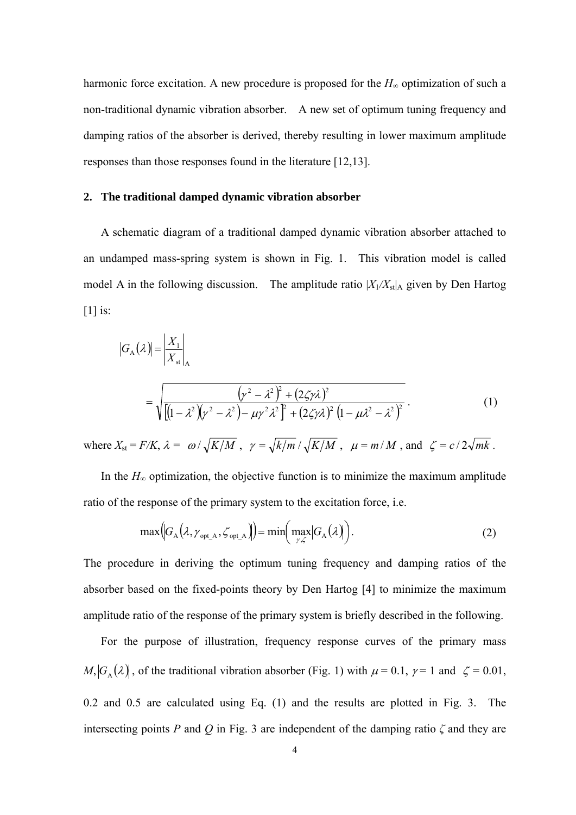harmonic force excitation. A new procedure is proposed for the  $H_\infty$  optimization of such a non-traditional dynamic vibration absorber. A new set of optimum tuning frequency and damping ratios of the absorber is derived, thereby resulting in lower maximum amplitude responses than those responses found in the literature [12,13].

### **2. The traditional damped dynamic vibration absorber**

A schematic diagram of a traditional damped dynamic vibration absorber attached to an undamped mass-spring system is shown in Fig. 1. This vibration model is called model A in the following discussion. The amplitude ratio  $|X_1/X_{st}|$  given by Den Hartog [1] is:

$$
|G_{A}(\lambda)| = \left| \frac{X_1}{X_{st}} \right|_{A}
$$
  
= 
$$
\sqrt{\left[ (1 - \lambda^2)(\gamma^2 - \lambda^2) - \mu \gamma^2 \lambda^2 \right]^2 + (2\zeta \gamma \lambda)^2 (1 - \mu \lambda^2 - \lambda^2)^2}
$$
 (1)

where  $X_{st} = F/K$ ,  $\lambda = \omega / \sqrt{K/M}$ ,  $\gamma = \sqrt{k/m} / \sqrt{K/M}$ ,  $\mu = m/M$ , and  $\zeta = c/2\sqrt{mk}$ .

In the  $H<sub>∞</sub>$  optimization, the objective function is to minimize the maximum amplitude ratio of the response of the primary system to the excitation force, i.e.

$$
\max(|G_{A}(\lambda, \gamma_{\text{opt\_A}}, \zeta_{\text{opt\_A}})|) = \min(\max_{\gamma, \zeta} |G_{A}(\lambda)|).
$$
 (2)

The procedure in deriving the optimum tuning frequency and damping ratios of the absorber based on the fixed-points theory by Den Hartog [4] to minimize the maximum amplitude ratio of the response of the primary system is briefly described in the following.

For the purpose of illustration, frequency response curves of the primary mass  $M$ ,  $|G_A(\lambda)|$ , of the traditional vibration absorber (Fig. 1) with  $\mu = 0.1$ ,  $\gamma = 1$  and  $\zeta = 0.01$ , 0.2 and 0.5 are calculated using Eq. (1) and the results are plotted in Fig. 3. The intersecting points *P* and *Q* in Fig. 3 are independent of the damping ratio  $\zeta$  and they are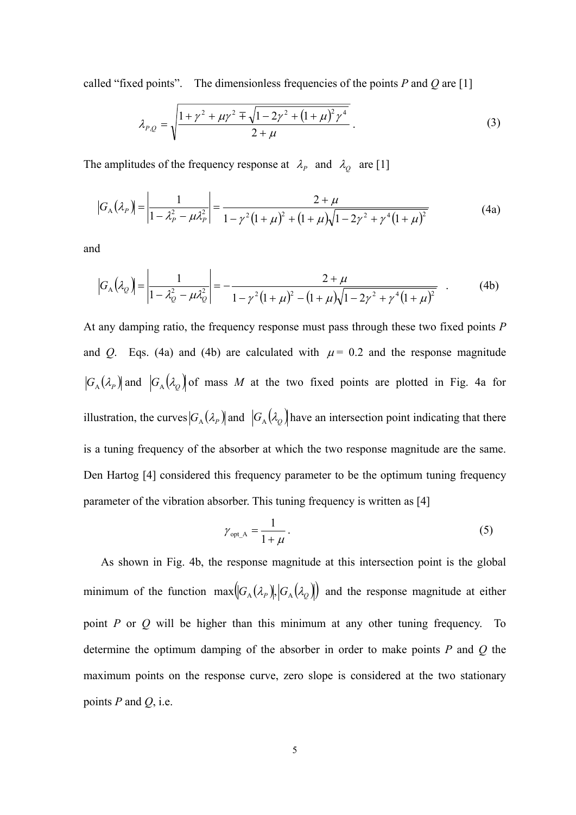called "fixed points". The dimensionless frequencies of the points *P* and *Q* are [1]

$$
\lambda_{P,Q} = \sqrt{\frac{1 + \gamma^2 + \mu \gamma^2 \mp \sqrt{1 - 2\gamma^2 + (1 + \mu)^2 \gamma^4}}{2 + \mu}}.
$$
\n(3)

The amplitudes of the frequency response at  $\lambda_p$  and  $\lambda_q$  are [1]

$$
|G_{A}(\lambda_{P})| = \left| \frac{1}{1 - \lambda_{P}^{2} - \mu \lambda_{P}^{2}} \right| = \frac{2 + \mu}{1 - \gamma^{2} (1 + \mu)^{2} + (1 + \mu) \sqrt{1 - 2\gamma^{2} + \gamma^{4} (1 + \mu)^{2}}}
$$
(4a)

and

$$
\left|G_{A}\left(\lambda_{Q}\right)\right| = \left|\frac{1}{1-\lambda_{Q}^{2} - \mu\lambda_{Q}^{2}}\right| = -\frac{2+\mu}{1-\gamma^{2}(1+\mu)^{2} - (1+\mu)\sqrt{1-2\gamma^{2} + \gamma^{4}(1+\mu)^{2}}}
$$
(4b)

At any damping ratio, the frequency response must pass through these two fixed points *P* and *Q*. Eqs. (4a) and (4b) are calculated with  $\mu$  = 0.2 and the response magnitude  $|G_A(\lambda_p)|$  and  $|G_A(\lambda_q)|$  of mass M at the two fixed points are plotted in Fig. 4a for illustration, the curves  $|G_A(\lambda_p)|$  and  $|G_A(\lambda_q)|$  have an intersection point indicating that there is a tuning frequency of the absorber at which the two response magnitude are the same. Den Hartog [4] considered this frequency parameter to be the optimum tuning frequency parameter of the vibration absorber. This tuning frequency is written as [4]

$$
\gamma_{\text{opt\_A}} = \frac{1}{1 + \mu} \,. \tag{5}
$$

As shown in Fig. 4b, the response magnitude at this intersection point is the global minimum of the function  $\max(G_A(\lambda_p), |G_A(\lambda_q))$  and the response magnitude at either point *P* or *Q* will be higher than this minimum at any other tuning frequency. To determine the optimum damping of the absorber in order to make points *P* and *Q* the maximum points on the response curve, zero slope is considered at the two stationary points *P* and *Q*, i.e.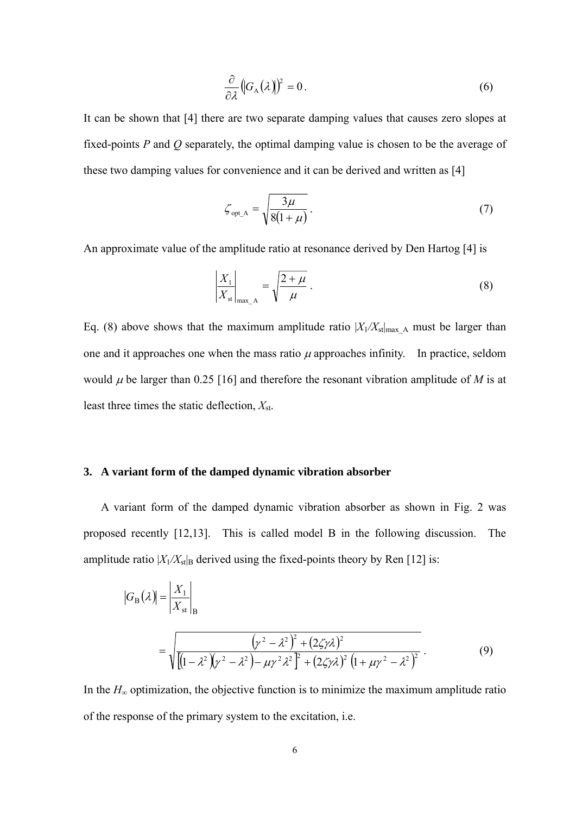$$
\frac{\partial}{\partial \lambda} \left( G_A(\lambda) \right)^2 = 0. \tag{6}
$$

It can be shown that [4] there are two separate damping values that causes zero slopes at fixed-points *P* and *Q* separately, the optimal damping value is chosen to be the average of these two damping values for convenience and it can be derived and written as [4]

$$
\zeta_{\text{opt\_A}} = \sqrt{\frac{3\mu}{8(1+\mu)}}.
$$
\n(7)

An approximate value of the amplitude ratio at resonance derived by Den Hartog [4] is

$$
\left|\frac{X_1}{X_{\text{st}}}\right|_{\text{max}\_\text{A}} = \sqrt{\frac{2+\mu}{\mu}}\,. \tag{8}
$$

Eq. (8) above shows that the maximum amplitude ratio  $|X_1/X_{st}|_{\text{max A}}$  must be larger than one and it approaches one when the mass ratio  $\mu$  approaches infinity. In practice, seldom would  $\mu$  be larger than 0.25 [16] and therefore the resonant vibration amplitude of *M* is at least three times the static deflection, *X*st.

#### **3. A variant form of the damped dynamic vibration absorber**

 A variant form of the damped dynamic vibration absorber as shown in Fig. 2 was proposed recently [12,13]. This is called model B in the following discussion. The amplitude ratio  $|X_1/X_{st}|_B$  derived using the fixed-points theory by Ren [12] is:

$$
|G_{\rm B}(\lambda)| = \left| \frac{X_1}{X_{\rm st}} \right|_{\rm B}
$$
  
= 
$$
\sqrt{\frac{(\gamma^2 - \lambda^2)^2 + (2\zeta\gamma\lambda)^2}{[(1 - \lambda^2)(\gamma^2 - \lambda^2) - \mu\gamma^2\lambda^2]^2 + (2\zeta\gamma\lambda)^2 (1 + \mu\gamma^2 - \lambda^2)^2}}
$$
 (9)

In the  $H<sub>∞</sub>$  optimization, the objective function is to minimize the maximum amplitude ratio of the response of the primary system to the excitation, i.e.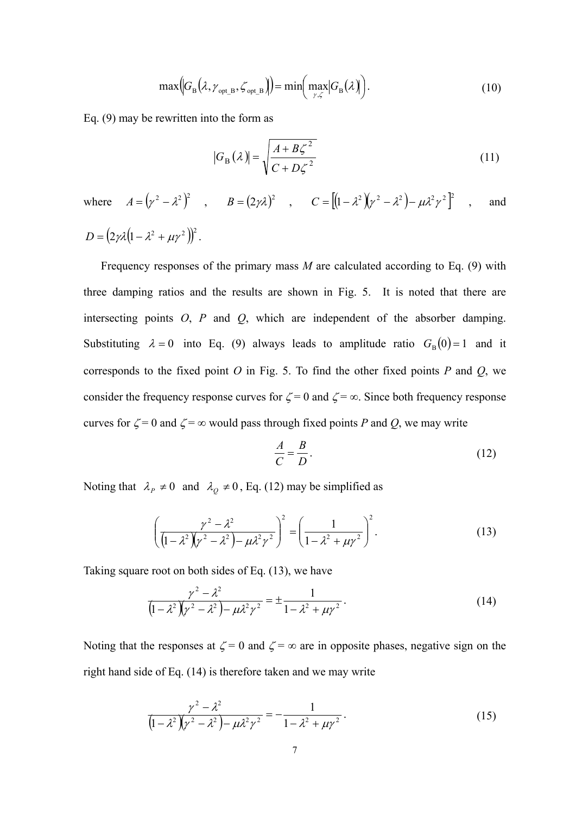$$
\max(|G_{\rm B}(\lambda, \gamma_{\rm opt\_B}, \zeta_{\rm opt\_B})|) = \min(\max_{\gamma, \zeta} |G_{\rm B}(\lambda)|).
$$
 (10)

Eq. (9) may be rewritten into the form as

$$
|G_{\rm B}(\lambda)| = \sqrt{\frac{A + B\zeta^2}{C + D\zeta^2}}
$$
\n(11)

where  $A = (\gamma^2 - \lambda^2)^2$ ,  $B = (2\gamma\lambda)^2$ ,  $C = [(1 - \lambda^2)(\gamma^2 - \lambda^2) - \mu\lambda^2\gamma^2]^2$ , and  $D = (2 \gamma \lambda (1 - \lambda^2 + \mu \gamma^2))^2$ .

Frequency responses of the primary mass *M* are calculated according to Eq. (9) with three damping ratios and the results are shown in Fig. 5. It is noted that there are intersecting points *O*, *P* and *Q*, which are independent of the absorber damping. Substituting  $\lambda = 0$  into Eq. (9) always leads to amplitude ratio  $G_{\text{B}}(0) = 1$  and it corresponds to the fixed point *O* in Fig. 5. To find the other fixed points *P* and *Q*, we consider the frequency response curves for  $\zeta = 0$  and  $\zeta = \infty$ . Since both frequency response curves for  $\zeta = 0$  and  $\zeta = \infty$  would pass through fixed points *P* and *Q*, we may write

$$
\frac{A}{C} = \frac{B}{D}.\tag{12}
$$

Noting that  $\lambda_p \neq 0$  and  $\lambda_q \neq 0$ , Eq. (12) may be simplified as

$$
\left(\frac{\gamma^2 - \lambda^2}{\left(1 - \lambda^2\right)\left(\gamma^2 - \lambda^2\right) - \mu\lambda^2\gamma^2}\right)^2 = \left(\frac{1}{1 - \lambda^2 + \mu\gamma^2}\right)^2.
$$
\n(13)

Taking square root on both sides of Eq. (13), we have

$$
\frac{\gamma^2 - \lambda^2}{\left(1 - \lambda^2\right)\left(\gamma^2 - \lambda^2\right) - \mu\lambda^2\gamma^2} = \pm \frac{1}{1 - \lambda^2 + \mu\gamma^2}.
$$
\n(14)

Noting that the responses at  $\zeta = 0$  and  $\zeta = \infty$  are in opposite phases, negative sign on the right hand side of Eq. (14) is therefore taken and we may write

$$
\frac{\gamma^2 - \lambda^2}{\left(1 - \lambda^2\right)\left(\gamma^2 - \lambda^2\right) - \mu\lambda^2\gamma^2} = -\frac{1}{1 - \lambda^2 + \mu\gamma^2}.
$$
\n(15)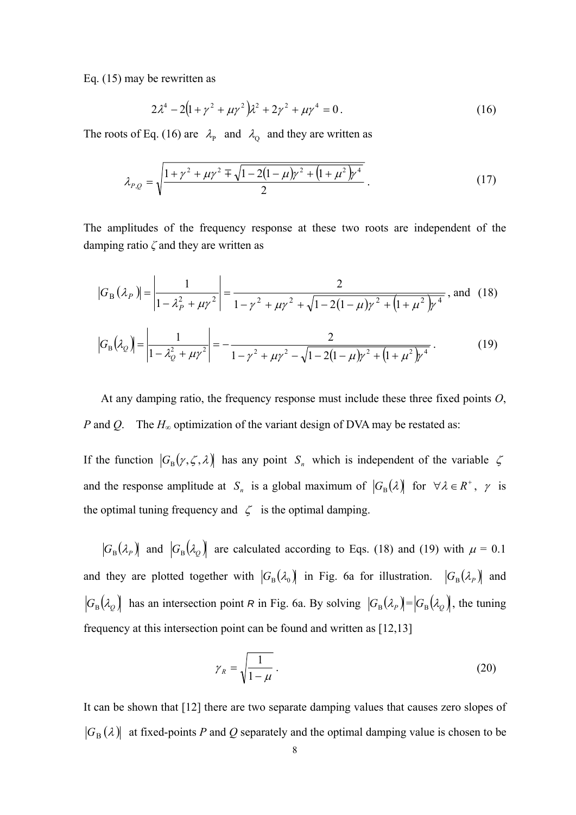Eq. (15) may be rewritten as

$$
2\lambda^4 - 2\left(1 + \gamma^2 + \mu\gamma^2\right)\lambda^2 + 2\gamma^2 + \mu\gamma^4 = 0.
$$
 (16)

The roots of Eq. (16) are  $\lambda_{\rm p}$  and  $\lambda_{\rm Q}$  and they are written as

$$
\lambda_{P,Q} = \sqrt{\frac{1 + \gamma^2 + \mu \gamma^2 \mp \sqrt{1 - 2(1 - \mu)\gamma^2 + (1 + \mu^2)\gamma^4}}{2}}.
$$
\n(17)

The amplitudes of the frequency response at these two roots are independent of the damping ratio *ζ* and they are written as

$$
|G_{\rm B}(\lambda_{P})| = \left| \frac{1}{1 - \lambda_{P}^{2} + \mu \gamma^{2}} \right| = \frac{2}{1 - \gamma^{2} + \mu \gamma^{2} + \sqrt{1 - 2(1 - \mu)\gamma^{2} + (1 + \mu^{2})\gamma^{4}}}, \text{ and } (18)
$$

$$
|G_{\rm B}(\lambda_{Q})| = \left| \frac{1}{1 - \lambda_{Q}^{2} + \mu \gamma^{2}} \right| = -\frac{2}{1 - \gamma^{2} + \mu \gamma^{2} - \sqrt{1 - 2(1 - \mu)\gamma^{2} + (1 + \mu^{2})\gamma^{4}}}.
$$
(19)

At any damping ratio, the frequency response must include these three fixed points *O*, *P* and *Q*. The *H*<sub>∞</sub> optimization of the variant design of DVA may be restated as:

If the function  $|G_{\text{B}}(\gamma, \zeta, \lambda)|$  has any point  $S_n$  which is independent of the variable  $\zeta$ and the response amplitude at  $S_n$  is a global maximum of  $|G_B(\lambda)|$  for  $\forall \lambda \in R^+$ ,  $\gamma$  is the optimal tuning frequency and  $\zeta$  is the optimal damping.

 $|G_{\rm B}(\lambda_{\rm p})|$  and  $|G_{\rm B}(\lambda_{\rm Q})|$  are calculated according to Eqs. (18) and (19) with  $\mu = 0.1$ and they are plotted together with  $|G_{\text{B}}(\lambda_0)|$  in Fig. 6a for illustration.  $|G_{\text{B}}(\lambda_p)|$  and  $|G_{\rm B}(\lambda_{\varrho})|$  has an intersection point *R* in Fig. 6a. By solving  $|G_{\rm B}(\lambda_{\varrho})| = |G_{\rm B}(\lambda_{\varrho})|$ , the tuning frequency at this intersection point can be found and written as [12,13]

$$
\gamma_R = \sqrt{\frac{1}{1 - \mu}} \,. \tag{20}
$$

It can be shown that [12] there are two separate damping values that causes zero slopes of  $|G_{\rm B}(\lambda)|$  at fixed-points *P* and *Q* separately and the optimal damping value is chosen to be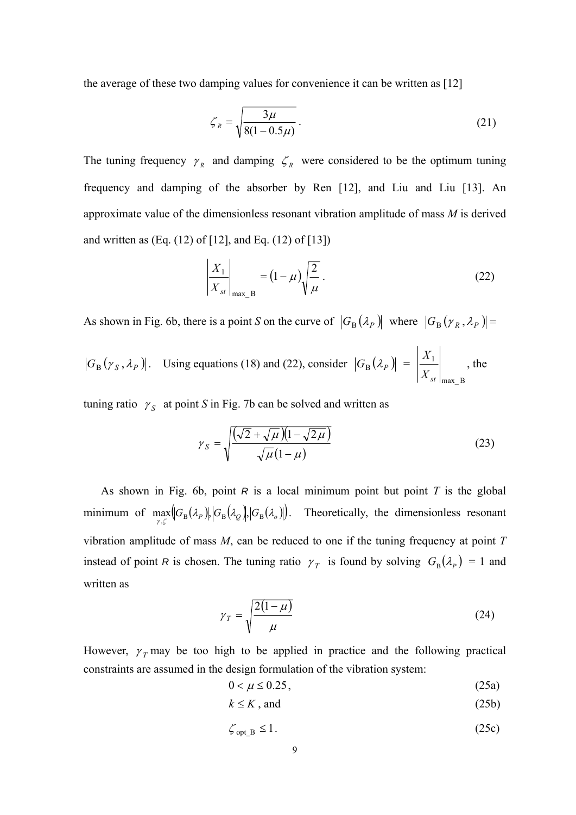the average of these two damping values for convenience it can be written as [12]

$$
\zeta_R = \sqrt{\frac{3\mu}{8(1 - 0.5\mu)}}\,. \tag{21}
$$

The tuning frequency  $\gamma_R$  and damping  $\zeta_R$  were considered to be the optimum tuning frequency and damping of the absorber by Ren [12], and Liu and Liu [13]. An approximate value of the dimensionless resonant vibration amplitude of mass *M* is derived and written as  $(Eq. (12)$  of  $[12]$ , and Eq.  $(12)$  of  $[13]$ )

$$
\left| \frac{X_1}{X_{st}} \right|_{\text{max\_B}} = (1 - \mu) \sqrt{\frac{2}{\mu}} \,. \tag{22}
$$

As shown in Fig. 6b, there is a point *S* on the curve of  $|G_{\text{B}}(\lambda_{p})|$  where  $|G_{\text{B}}(\gamma_{R}, \lambda_{p})|$  =

 $G_{\rm B}(\gamma_S, \lambda_P)$ . Using equations (18) and (22), consider  $|G_{\rm B}(\lambda_P)| =$ max\_B 1 *X st X* , the

tuning ratio  $\gamma_s$  at point *S* in Fig. 7b can be solved and written as

$$
\gamma_S = \sqrt{\frac{(\sqrt{2} + \sqrt{\mu})(1 - \sqrt{2\mu})}{\sqrt{\mu}(1 - \mu)}}
$$
(23)

As shown in Fig. 6b, point *R* is a local minimum point but point *T* is the global minimum of  $\max_{\gamma,\zeta} [G_B(\lambda_p)]$ ,  $|G_B(\lambda_q)|$ ,  $|G_B(\lambda_q)|$ . Theoretically, the dimensionless resonant vibration amplitude of mass *M*, can be reduced to one if the tuning frequency at point *T* instead of point *R* is chosen. The tuning ratio  $\gamma_T$  is found by solving  $G_B(\lambda_P) = 1$  and written as

$$
\gamma_T = \sqrt{\frac{2(1-\mu)}{\mu}}\tag{24}
$$

However,  $\gamma$ <sup>r</sup> may be too high to be applied in practice and the following practical constraints are assumed in the design formulation of the vibration system:

$$
0 < \mu \le 0.25 \tag{25a}
$$

$$
k \le K \text{, and} \tag{25b}
$$

$$
\zeta_{\text{opt\_B}} \le 1. \tag{25c}
$$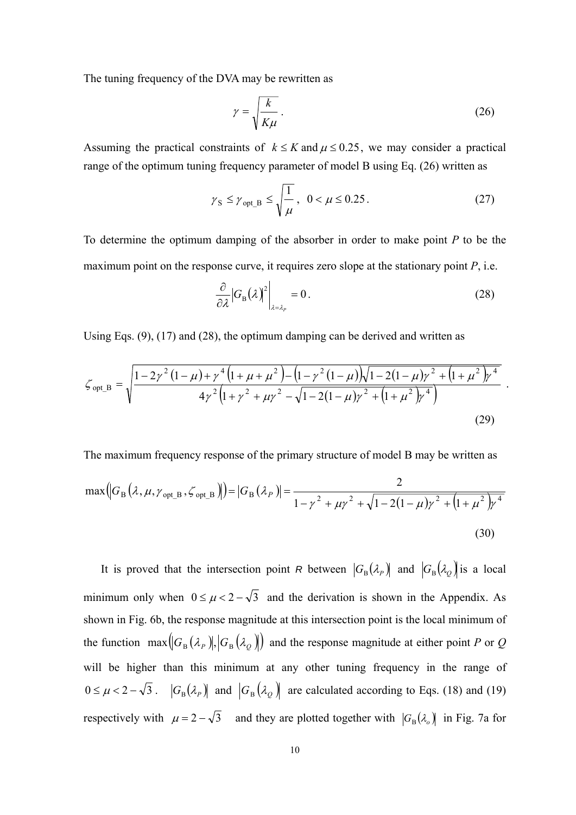The tuning frequency of the DVA may be rewritten as

$$
\gamma = \sqrt{\frac{k}{K\mu}}\,. \tag{26}
$$

Assuming the practical constraints of  $k \le K$  and  $\mu \le 0.25$ , we may consider a practical range of the optimum tuning frequency parameter of model B using Eq. (26) written as

$$
\gamma_{\rm S} \le \gamma_{\rm opt\_B} \le \sqrt{\frac{1}{\mu}}, \ \ 0 < \mu \le 0.25 \,. \tag{27}
$$

To determine the optimum damping of the absorber in order to make point *P* to be the maximum point on the response curve, it requires zero slope at the stationary point *P*, i.e.

$$
\frac{\partial}{\partial \lambda} |G_{\text{B}}(\lambda)|^2 \bigg|_{\lambda = \lambda_p} = 0. \tag{28}
$$

Using Eqs.  $(9)$ ,  $(17)$  and  $(28)$ , the optimum damping can be derived and written as

$$
\zeta_{\text{opt\_B}} = \sqrt{\frac{1 - 2\gamma^2 (1 - \mu) + \gamma^4 (1 + \mu + \mu^2) - (1 - \gamma^2 (1 - \mu))\sqrt{1 - 2(1 - \mu)\gamma^2 + (1 + \mu^2)\gamma^4}}{4\gamma^2 (1 + \gamma^2 + \mu\gamma^2 - \sqrt{1 - 2(1 - \mu)\gamma^2 + (1 + \mu^2)\gamma^4}})}
$$
(29)

The maximum frequency response of the primary structure of model B may be written as

$$
\max(|G_{\rm B}(\lambda,\mu,\gamma_{\rm opt\_B},\zeta_{\rm opt\_B})|) = |G_{\rm B}(\lambda_P)| = \frac{2}{1 - \gamma^2 + \mu\gamma^2 + \sqrt{1 - 2(1 - \mu)\gamma^2 + (1 + \mu^2)\gamma^4}}
$$
(30)

It is proved that the intersection point *R* between  $|G_{\text{B}}(\lambda_p)|$  and  $|G_{\text{B}}(\lambda_q)|$  is a local minimum only when  $0 \le \mu < 2 - \sqrt{3}$  and the derivation is shown in the Appendix. As shown in Fig. 6b, the response magnitude at this intersection point is the local minimum of the function  $\max(|G_{\text{B}}(\lambda_{p})|, |G_{\text{B}}(\lambda_{q})|)$  and the response magnitude at either point P or Q will be higher than this minimum at any other tuning frequency in the range of  $0 \le \mu < 2 - \sqrt{3}$ .  $|G_{\text{B}}(\lambda_p)|$  and  $|G_{\text{B}}(\lambda_q)|$  are calculated according to Eqs. (18) and (19) respectively with  $\mu = 2 - \sqrt{3}$  and they are plotted together with  $|G_{\text{B}}(\lambda_o)|$  in Fig. 7a for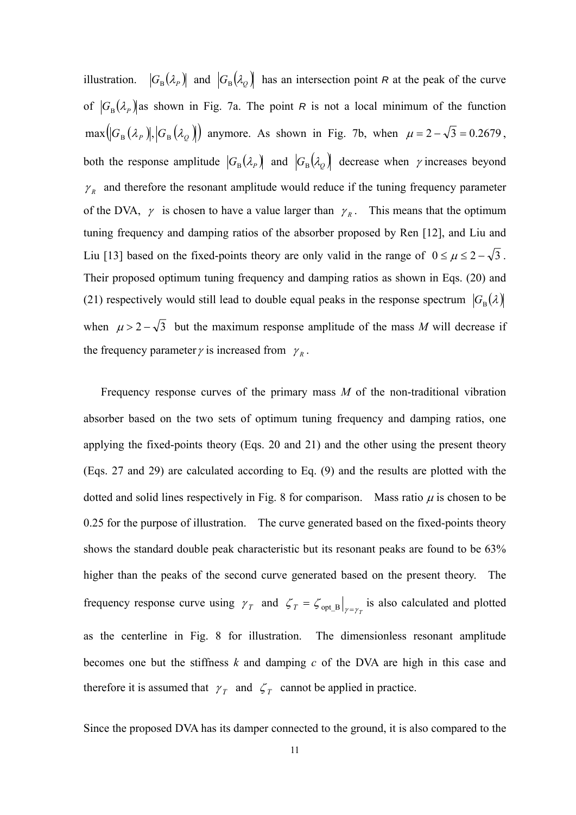illustration.  $|G_{\text{B}}(\lambda_p)|$  and  $|G_{\text{B}}(\lambda_q)|$  has an intersection point *R* at the peak of the curve of  $|G_{\rm B}(\lambda_p)|$  as shown in Fig. 7a. The point *R* is not a local minimum of the function  $\max(|G_{\rm B}(\lambda_{P})|, |G_{\rm B}(\lambda_{Q})|)$  anymore. As shown in Fig. 7b, when  $\mu = 2 - \sqrt{3} = 0.2679$ , both the response amplitude  $|G_{\rm B}(\lambda_p)|$  and  $|G_{\rm B}(\lambda_q)|$  decrease when  $\gamma$  increases beyond  $\gamma_R$  and therefore the resonant amplitude would reduce if the tuning frequency parameter of the DVA,  $\gamma$  is chosen to have a value larger than  $\gamma_R$ . This means that the optimum tuning frequency and damping ratios of the absorber proposed by Ren [12], and Liu and Liu [13] based on the fixed-points theory are only valid in the range of  $0 \le \mu \le 2 - \sqrt{3}$ . Their proposed optimum tuning frequency and damping ratios as shown in Eqs. (20) and (21) respectively would still lead to double equal peaks in the response spectrum  $|G_{\rm B}(\lambda)|$ when  $\mu > 2 - \sqrt{3}$  but the maximum response amplitude of the mass *M* will decrease if the frequency parameter  $\gamma$  is increased from  $\gamma_R$ .

Frequency response curves of the primary mass *M* of the non-traditional vibration absorber based on the two sets of optimum tuning frequency and damping ratios, one applying the fixed-points theory (Eqs. 20 and 21) and the other using the present theory (Eqs. 27 and 29) are calculated according to Eq. (9) and the results are plotted with the dotted and solid lines respectively in Fig. 8 for comparison. Mass ratio  $\mu$  is chosen to be 0.25 for the purpose of illustration. The curve generated based on the fixed-points theory shows the standard double peak characteristic but its resonant peaks are found to be 63% higher than the peaks of the second curve generated based on the present theory. The frequency response curve using  $\gamma_T$  and  $\zeta_T = \zeta_{opt}$  is also calculated and plotted as the centerline in Fig. 8 for illustration. The dimensionless resonant amplitude becomes one but the stiffness *k* and damping *c* of the DVA are high in this case and therefore it is assumed that  $\gamma_T$  and  $\zeta_T$  cannot be applied in practice.

Since the proposed DVA has its damper connected to the ground, it is also compared to the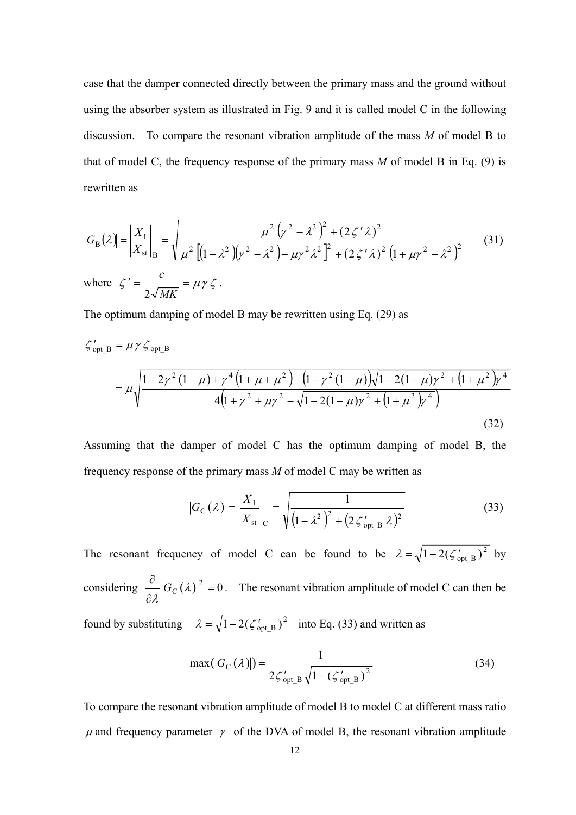case that the damper connected directly between the primary mass and the ground without using the absorber system as illustrated in Fig. 9 and it is called model C in the following discussion. To compare the resonant vibration amplitude of the mass *M* of model B to that of model C, the frequency response of the primary mass *M* of model B in Eq. (9) is rewritten as

$$
|G_{\rm B}(\lambda)| = \left| \frac{X_1}{X_{\rm st}} \right|_{\rm B} = \sqrt{\frac{\mu^2 (\gamma^2 - \lambda^2)^2 + (2\zeta' \lambda)^2}{\mu^2 [(1 - \lambda^2)(\gamma^2 - \lambda^2) - \mu \gamma^2 \lambda^2]^2 + (2\zeta' \lambda)^2 (1 + \mu \gamma^2 - \lambda^2)^2}}
$$
(31)  
where  $\zeta' = \frac{c}{2\sqrt{MK}} = \mu \gamma \zeta$ .

The optimum damping of model B may be rewritten using Eq. (29) as

$$
\zeta_{\text{opt\_B}}^{\prime} = \mu \gamma \zeta_{\text{opt\_B}}
$$
  
= 
$$
\mu \sqrt{\frac{1 - 2\gamma^2 (1 - \mu) + \gamma^4 (1 + \mu + \mu^2) - (1 - \gamma^2 (1 - \mu)) \sqrt{1 - 2(1 - \mu)\gamma^2 + (1 + \mu^2)\gamma^4}}{4(1 + \gamma^2 + \mu\gamma^2 - \sqrt{1 - 2(1 - \mu)\gamma^2 + (1 + \mu^2)\gamma^4}})}
$$
(32)

Assuming that the damper of model C has the optimum damping of model B, the frequency response of the primary mass *M* of model C may be written as

$$
|G_{\rm C}(\lambda)| = \left| \frac{X_1}{X_{\rm st}} \right|_{\rm C} = \sqrt{\frac{1}{\left(1 - \lambda^2\right)^2 + \left(2 \zeta'_{\rm opt\_B} \lambda\right)^2}}
$$
(33)

The resonant frequency of model C can be found to be  $\lambda = \sqrt{1 - 2(\zeta_{\text{opt B}}')^2}$  by considering  $\frac{\partial}{\partial \lambda} |G_C(\lambda)|^2 = 0$  $\frac{\partial}{\partial \theta} |G_{\alpha}(\lambda)|$ λ  $G_{\rm C}(\lambda)^2 = 0$ . The resonant vibration amplitude of model C can then be found by substituting  $\lambda = \sqrt{1 - 2(\zeta_{\text{opt B}}')^2}$  into Eq. (33) and written as

$$
\max(|G_{\rm C}(\lambda)|) = \frac{1}{2\zeta'_{\rm opt\_B}\sqrt{1 - (\zeta'_{\rm opt\_B})^2}}
$$
(34)

To compare the resonant vibration amplitude of model B to model C at different mass ratio  $\mu$  and frequency parameter  $\gamma$  of the DVA of model B, the resonant vibration amplitude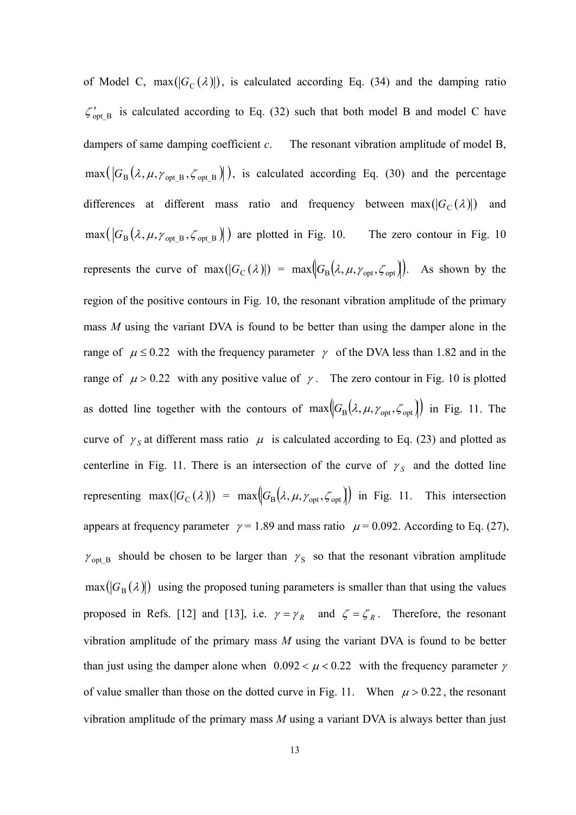of Model C,  $max(|G_C(\lambda)|)$ , is calculated according Eq. (34) and the damping ratio  $\zeta_{\text{opt B}}'$  is calculated according to Eq. (32) such that both model B and model C have dampers of same damping coefficient *c*. The resonant vibration amplitude of model B,  $\max(|G_B(\lambda, \mu, \gamma_{\text{opt B}}, \zeta_{\text{opt B}}|))$ , is calculated according Eq. (30) and the percentage differences at different mass ratio and frequency between  $max(|G_C(\lambda)|)$  and  $\max (G_B(\lambda, \mu, \gamma_{\text{opt B}}, \zeta_{\text{opt B}}))$  are plotted in Fig. 10. The zero contour in Fig. 10 represents the curve of  $\max(|G_{\text{C}}(\lambda)|) = \max(|G_{\text{B}}(\lambda, \mu, \gamma_{\text{opt}}, \zeta_{\text{opt}}|)).$  As shown by the region of the positive contours in Fig. 10, the resonant vibration amplitude of the primary mass *M* using the variant DVA is found to be better than using the damper alone in the range of  $\mu \le 0.22$  with the frequency parameter  $\gamma$  of the DVA less than 1.82 and in the range of  $\mu > 0.22$  with any positive value of  $\gamma$ . The zero contour in Fig. 10 is plotted as dotted line together with the contours of  $max(C_B(\lambda, \mu, \gamma_{opt}, \zeta_{opt}))$  in Fig. 11. The curve of  $\gamma_s$  at different mass ratio  $\mu$  is calculated according to Eq. (23) and plotted as centerline in Fig. 11. There is an intersection of the curve of  $\gamma_s$  and the dotted line representing  $\max(|G_C(\lambda)|) = \max(|G_B(\lambda, \mu, \gamma_{opt}, \zeta_{opt})|)$  in Fig. 11. This intersection appears at frequency parameter  $\gamma = 1.89$  and mass ratio  $\mu = 0.092$ . According to Eq. (27),  $\gamma_{opt_B}$  should be chosen to be larger than  $\gamma_S$  so that the resonant vibration amplitude  $max(|G_{\text{B}}(\lambda)|)$  using the proposed tuning parameters is smaller than that using the values proposed in Refs. [12] and [13], i.e.  $\gamma = \gamma_R$  and  $\zeta = \zeta_R$ . Therefore, the resonant vibration amplitude of the primary mass *M* using the variant DVA is found to be better than just using the damper alone when  $0.092 < \mu < 0.22$  with the frequency parameter  $\gamma$ of value smaller than those on the dotted curve in Fig. 11. When  $\mu$  > 0.22, the resonant vibration amplitude of the primary mass *M* using a variant DVA is always better than just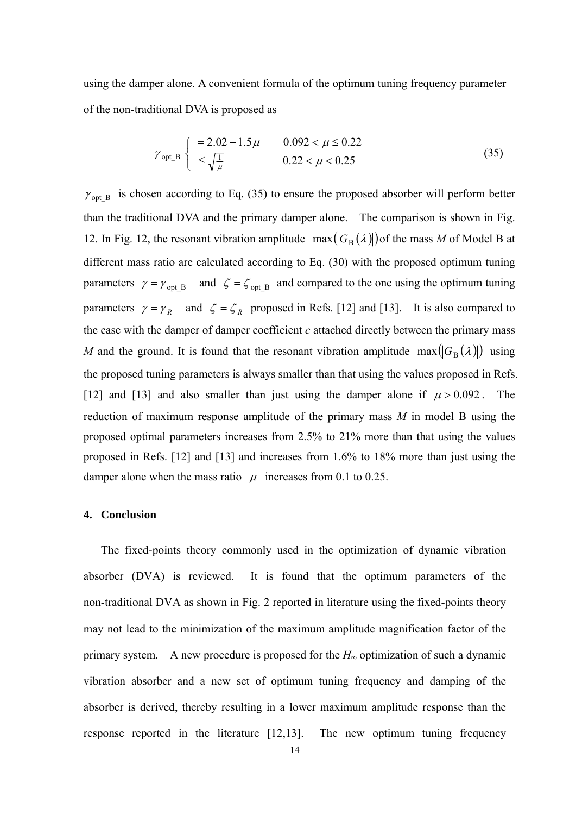using the damper alone. A convenient formula of the optimum tuning frequency parameter of the non-traditional DVA is proposed as

$$
\gamma_{\text{opt\_B}} \begin{cases}\n= 2.02 - 1.5 \mu & 0.092 < \mu \le 0.22 \\
\le \sqrt{\frac{1}{\mu}} & 0.22 < \mu < 0.25\n\end{cases}
$$
\n(35)

 $\gamma_{\text{opt_B}}$  is chosen according to Eq. (35) to ensure the proposed absorber will perform better than the traditional DVA and the primary damper alone. The comparison is shown in Fig. 12. In Fig. 12, the resonant vibration amplitude  $\max(|G_{\text{B}}(\lambda)|)$  of the mass *M* of Model B at different mass ratio are calculated according to Eq. (30) with the proposed optimum tuning parameters  $\gamma = \gamma_{\text{opt B}}$  and  $\zeta = \zeta_{\text{opt B}}$  and compared to the one using the optimum tuning parameters  $\gamma = \gamma_R$  and  $\zeta = \zeta_R$  proposed in Refs. [12] and [13]. It is also compared to the case with the damper of damper coefficient *c* attached directly between the primary mass *M* and the ground. It is found that the resonant vibration amplitude max $(|G_{\rm B}(\lambda)|)$  using the proposed tuning parameters is always smaller than that using the values proposed in Refs. [12] and [13] and also smaller than just using the damper alone if  $\mu > 0.092$ . The reduction of maximum response amplitude of the primary mass *M* in model B using the proposed optimal parameters increases from 2.5% to 21% more than that using the values proposed in Refs. [12] and [13] and increases from 1.6% to 18% more than just using the damper alone when the mass ratio  $\mu$  increases from 0.1 to 0.25.

#### **4. Conclusion**

The fixed-points theory commonly used in the optimization of dynamic vibration absorber (DVA) is reviewed. It is found that the optimum parameters of the non-traditional DVA as shown in Fig. 2 reported in literature using the fixed-points theory may not lead to the minimization of the maximum amplitude magnification factor of the primary system. A new procedure is proposed for the  $H_\infty$  optimization of such a dynamic vibration absorber and a new set of optimum tuning frequency and damping of the absorber is derived, thereby resulting in a lower maximum amplitude response than the response reported in the literature [12,13]. The new optimum tuning frequency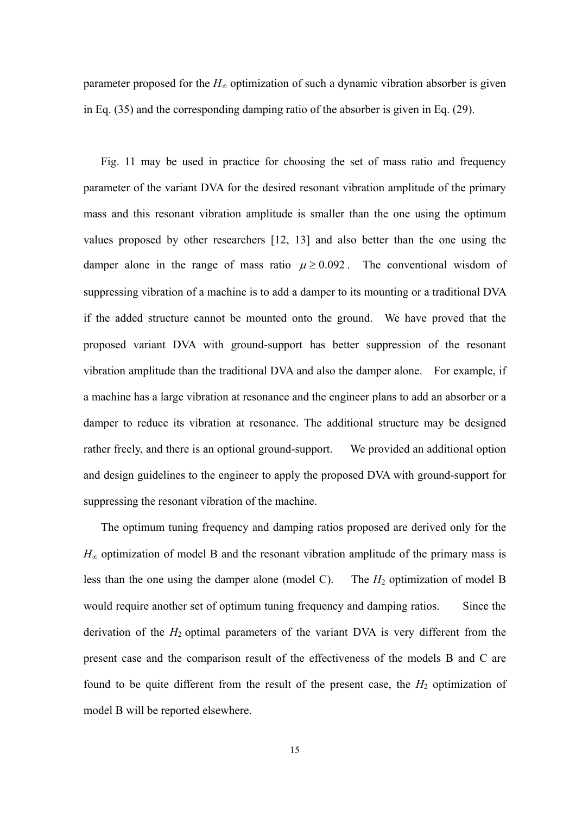parameter proposed for the  $H<sub>∞</sub>$  optimization of such a dynamic vibration absorber is given in Eq. (35) and the corresponding damping ratio of the absorber is given in Eq. (29).

Fig. 11 may be used in practice for choosing the set of mass ratio and frequency parameter of the variant DVA for the desired resonant vibration amplitude of the primary mass and this resonant vibration amplitude is smaller than the one using the optimum values proposed by other researchers [12, 13] and also better than the one using the damper alone in the range of mass ratio  $\mu \geq 0.092$ . The conventional wisdom of suppressing vibration of a machine is to add a damper to its mounting or a traditional DVA if the added structure cannot be mounted onto the ground. We have proved that the proposed variant DVA with ground-support has better suppression of the resonant vibration amplitude than the traditional DVA and also the damper alone. For example, if a machine has a large vibration at resonance and the engineer plans to add an absorber or a damper to reduce its vibration at resonance. The additional structure may be designed rather freely, and there is an optional ground-support. We provided an additional option and design guidelines to the engineer to apply the proposed DVA with ground-support for suppressing the resonant vibration of the machine.

The optimum tuning frequency and damping ratios proposed are derived only for the  $H_{\infty}$  optimization of model B and the resonant vibration amplitude of the primary mass is less than the one using the damper alone (model C). The  $H_2$  optimization of model B would require another set of optimum tuning frequency and damping ratios. Since the derivation of the  $H_2$  optimal parameters of the variant DVA is very different from the present case and the comparison result of the effectiveness of the models B and C are found to be quite different from the result of the present case, the  $H_2$  optimization of model B will be reported elsewhere.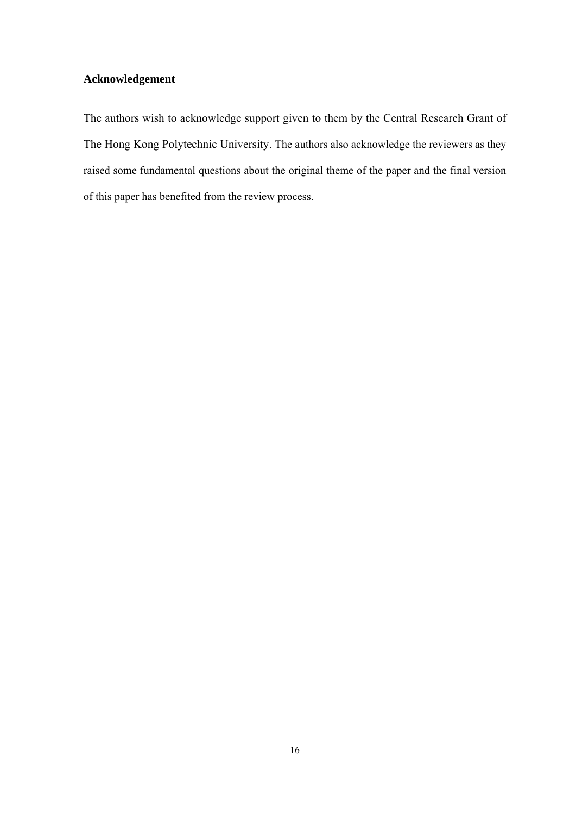# **Acknowledgement**

The authors wish to acknowledge support given to them by the Central Research Grant of The Hong Kong Polytechnic University. The authors also acknowledge the reviewers as they raised some fundamental questions about the original theme of the paper and the final version of this paper has benefited from the review process.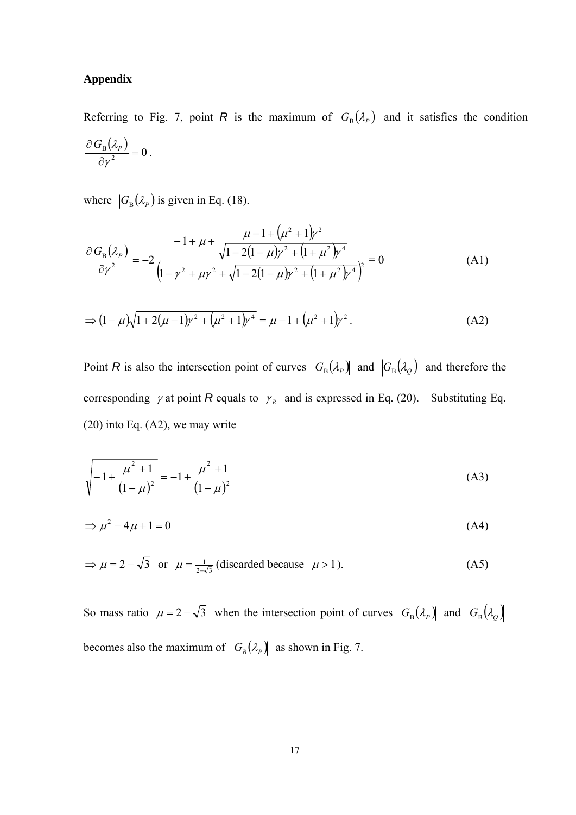#### **Appendix**

Referring to Fig. 7, point *R* is the maximum of  $|G_{\text{B}}(\lambda_p)|$  and it satisfies the condition  $\frac{\partial \big |G^{}_{\rm B}\big ( \mathcal{A}_P\big )\big |}{\partial \gamma^2}=0$ ΊY  $\frac{G_{\rm B}(\lambda_P)}{2} = 0$ .

where  $|G_{\text{B}}(\lambda_p)|$  is given in Eq. (18).

$$
\frac{\partial |G_{B}(\lambda_{P})|}{\partial \gamma^{2}} = -2 \frac{-1 + \mu + \frac{\mu - 1 + (\mu^{2} + 1)\gamma^{2}}{\sqrt{1 - 2(1 - \mu)\gamma^{2} + (1 + \mu^{2})\gamma^{4}}}}{(1 - \gamma^{2} + \mu\gamma^{2} + \sqrt{1 - 2(1 - \mu)\gamma^{2} + (1 + \mu^{2})\gamma^{4}})^{2}} = 0
$$
\n(A1)

$$
\Rightarrow (1 - \mu)\sqrt{1 + 2(\mu - 1)\gamma^2 + (\mu^2 + 1)\gamma^4} = \mu - 1 + (\mu^2 + 1)\gamma^2.
$$
 (A2)

Point *R* is also the intersection point of curves  $|G_{\text{B}}(\lambda_{p})|$  and  $|G_{\text{B}}(\lambda_{\mathcal{Q}})|$  and therefore the corresponding  $\gamma$  at point *R* equals to  $\gamma_R$  and is expressed in Eq. (20). Substituting Eq.  $(20)$  into Eq.  $(A2)$ , we may write

$$
\sqrt{-1 + \frac{\mu^2 + 1}{(1 - \mu)^2}} = -1 + \frac{\mu^2 + 1}{(1 - \mu)^2}
$$
 (A3)

$$
\Rightarrow \mu^2 - 4\mu + 1 = 0 \tag{A4}
$$

$$
\Rightarrow \mu = 2 - \sqrt{3} \text{ or } \mu = \frac{1}{2 - \sqrt{3}} \text{ (discarded because } \mu > 1).
$$
 (A5)

So mass ratio  $\mu = 2 - \sqrt{3}$  when the intersection point of curves  $|G_{B}(\lambda_{p})|$  and  $|G_{B}(\lambda_{Q})|$ becomes also the maximum of  $|G_B(\lambda_P)|$  as shown in Fig. 7.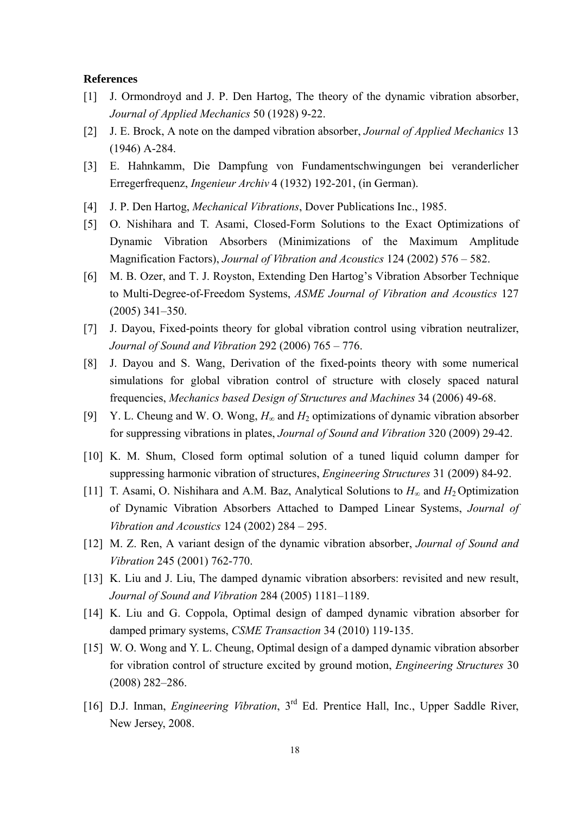#### **References**

- [1] J. Ormondroyd and J. P. Den Hartog, The theory of the dynamic vibration absorber, *Journal of Applied Mechanics* 50 (1928) 9-22.
- [2] J. E. Brock, A note on the damped vibration absorber, *Journal of Applied Mechanics* 13 (1946) A-284.
- [3] E. Hahnkamm, Die Dampfung von Fundamentschwingungen bei veranderlicher Erregerfrequenz, *Ingenieur Archiv* 4 (1932) 192-201, (in German).
- [4] J. P. Den Hartog, *Mechanical Vibrations*, Dover Publications Inc., 1985.
- [5] O. Nishihara and T. Asami, Closed-Form Solutions to the Exact Optimizations of Dynamic Vibration Absorbers (Minimizations of the Maximum Amplitude Magnification Factors), *Journal of Vibration and Acoustics* 124 (2002) 576 – 582.
- [6] M. B. Ozer, and T. J. Royston, Extending Den Hartog's Vibration Absorber Technique to Multi-Degree-of-Freedom Systems, *ASME Journal of Vibration and Acoustics* 127 (2005) 341–350.
- [7] J. Dayou, Fixed-points theory for global vibration control using vibration neutralizer, *Journal of Sound and Vibration* 292 (2006) 765 – 776.
- [8] J. Dayou and S. Wang, Derivation of the fixed-points theory with some numerical simulations for global vibration control of structure with closely spaced natural frequencies, *Mechanics based Design of Structures and Machines* 34 (2006) 49-68.
- [9] Y. L. Cheung and W. O. Wong,  $H_{\infty}$  and  $H_2$  optimizations of dynamic vibration absorber for suppressing vibrations in plates, *Journal of Sound and Vibration* 320 (2009) 29-42.
- [10] K. M. Shum, Closed form optimal solution of a tuned liquid column damper for suppressing harmonic vibration of structures, *Engineering Structures* 31 (2009) 84-92.
- [11] T. Asami, O. Nishihara and A.M. Baz, Analytical Solutions to *H*∞ and *H*2 Optimization of Dynamic Vibration Absorbers Attached to Damped Linear Systems, *Journal of Vibration and Acoustics* 124 (2002) 284 – 295.
- [12] M. Z. Ren, A variant design of the dynamic vibration absorber, *Journal of Sound and Vibration* 245 (2001) 762-770.
- [13] K. Liu and J. Liu, The damped dynamic vibration absorbers: revisited and new result, *Journal of Sound and Vibration* 284 (2005) 1181–1189.
- [14] K. Liu and G. Coppola, Optimal design of damped dynamic vibration absorber for damped primary systems, *CSME Transaction* 34 (2010) 119-135.
- [15] W. O. Wong and Y. L. Cheung, Optimal design of a damped dynamic vibration absorber for vibration control of structure excited by ground motion, *Engineering Structures* 30 (2008) 282–286.
- [16] D.J. Inman, *Engineering Vibration*, 3<sup>rd</sup> Ed. Prentice Hall, Inc., Upper Saddle River, New Jersey, 2008.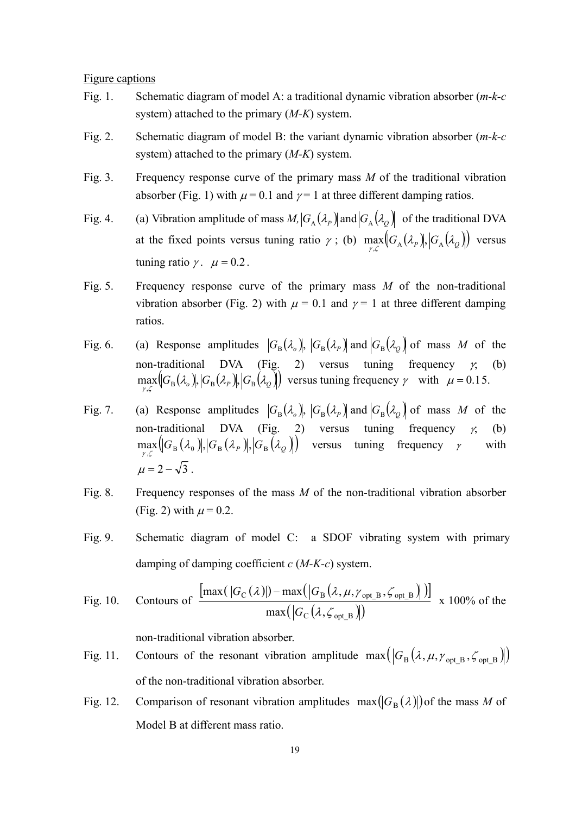Figure captions

- Fig. 1. Schematic diagram of model A: a traditional dynamic vibration absorber (*m-k-c* system) attached to the primary (*M-K*) system.
- Fig. 2. Schematic diagram of model B: the variant dynamic vibration absorber (*m-k-c* system) attached to the primary (*M-K*) system.
- Fig. 3. Frequency response curve of the primary mass *M* of the traditional vibration absorber (Fig. 1) with  $\mu$  = 0.1 and  $\gamma$  = 1 at three different damping ratios.
- Fig. 4. (a) Vibration amplitude of mass  $M$ ,  $|G_A(\lambda_p)|$  and  $|G_A(\lambda_o)|$  of the traditional DVA at the fixed points versus tuning ratio  $\gamma$ ; (b)  $\max_{\gamma,\zeta} (G_A(\lambda_P), G_A(\lambda_Q))$  versus tuning ratio  $\gamma$ .  $\mu = 0.2$ .
- Fig. 5. Frequency response curve of the primary mass *M* of the non-traditional vibration absorber (Fig. 2) with  $\mu = 0.1$  and  $\gamma = 1$  at three different damping ratios.
- Fig. 6. (a) Response amplitudes  $|G_{\text{B}}(\lambda_{\text{o}})|, |G_{\text{B}}(\lambda_{\text{p}})|$  and  $|G_{\text{B}}(\lambda_{\text{Q}})|$  of mass *M* of the non-traditional DVA (Fig. 2) versus tuning frequency  $\gamma$ , (b)  $\max_{\gamma,\zeta} [G_{\rm B}(\lambda_o)]$ ,  $[G_{\rm B}(\lambda_p)]$ ,  $[G_{\rm B}(\lambda_Q)]$  versus tuning frequency  $\gamma$  with  $\mu = 0.15$ .
- Fig. 7. (a) Response amplitudes  $|G_{\text{B}}(\lambda_{\text{o}})|, |G_{\text{B}}(\lambda_{\text{p}})|$  and  $|G_{\text{B}}(\lambda_{\text{o}})|$  of mass *M* of the non-traditional DVA (Fig. 2) versus tuning frequency  $\chi$  (b)  $\max_{\gamma, \zeta} [G_{\rm B}(\lambda_0), |G_{\rm B}(\lambda_0)|, |G_{\rm B}(\lambda_0)|]$  versus tuning frequency  $\gamma$  with  $\mu = 2 - \sqrt{3}$ .
- Fig. 8. Frequency responses of the mass *M* of the non-traditional vibration absorber (Fig. 2) with  $\mu$  = 0.2.
- Fig. 9. Schematic diagram of model C: a SDOF vibrating system with primary damping of damping coefficient *c* (*M-K-c*) system.

Fig. 10. Contours of 
$$
\frac{\left[\max(|G_{\text{C}}(\lambda)|) - \max(|G_{\text{B}}(\lambda, \mu, \gamma_{\text{opt\_B}}, \zeta_{\text{opt\_B}})|)\right]}{\max(|G_{\text{C}}(\lambda, \zeta_{\text{opt\_B}})|)} \times 100\% \text{ of the}
$$

non-traditional vibration absorber.

- Fig. 11. Contours of the resonant vibration amplitude  $\max(|G_B(\lambda, \mu, \gamma_{\text{opt B}}, \zeta_{\text{opt B}})|)$ of the non-traditional vibration absorber.
- Fig. 12. Comparison of resonant vibration amplitudes  $\max(|G_{\text{B}}(\lambda)|)$  of the mass *M* of Model B at different mass ratio.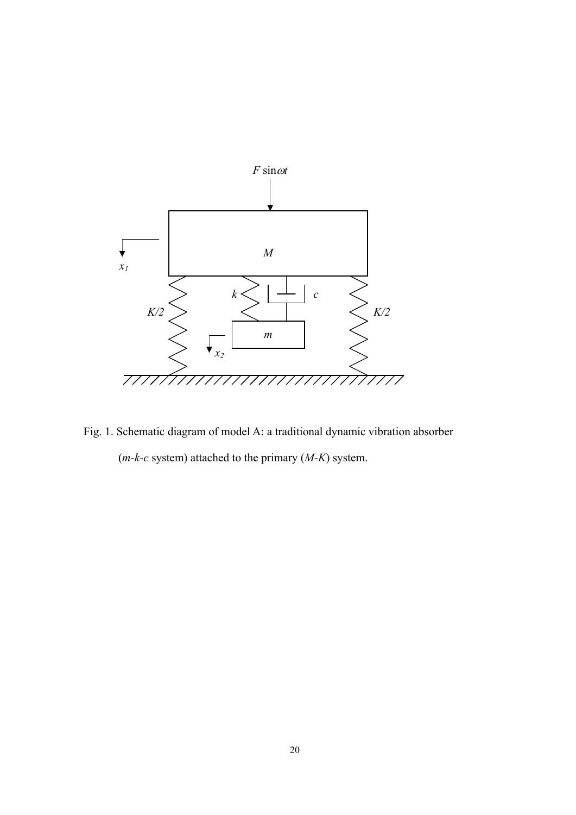

Fig. 1. Schematic diagram of model A: a traditional dynamic vibration absorber (*m-k-c* system) attached to the primary (*M-K*) system.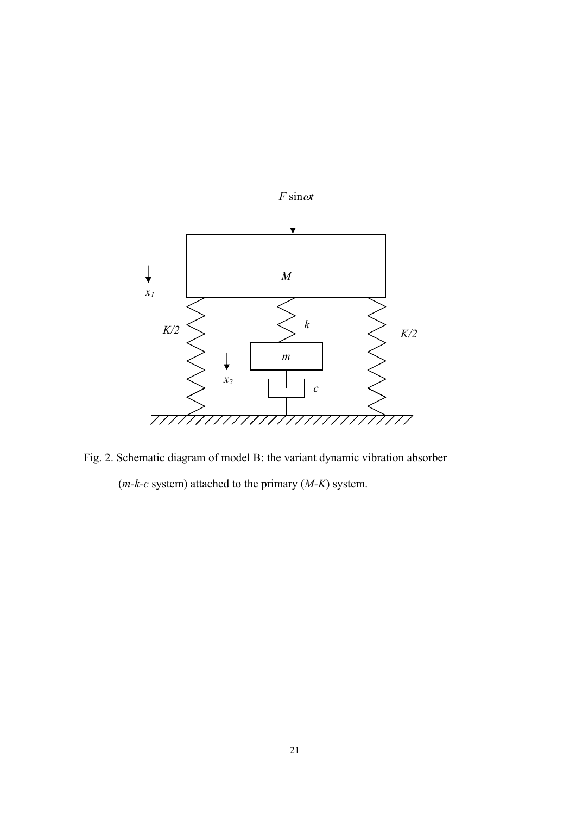

Fig. 2. Schematic diagram of model B: the variant dynamic vibration absorber (*m-k-c* system) attached to the primary (*M-K*) system.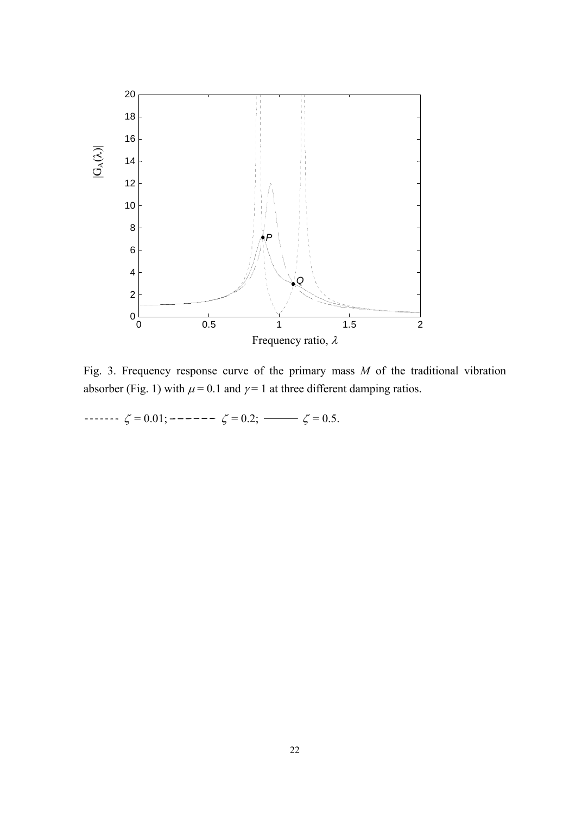

Fig. 3. Frequency response curve of the primary mass *M* of the traditional vibration absorber (Fig. 1) with  $\mu$  = 0.1 and  $\gamma$  = 1 at three different damping ratios.

 $\cdots$   $\zeta = 0.01;$   $\cdots$   $\zeta = 0.2;$   $\cdots$   $\zeta = 0.5.$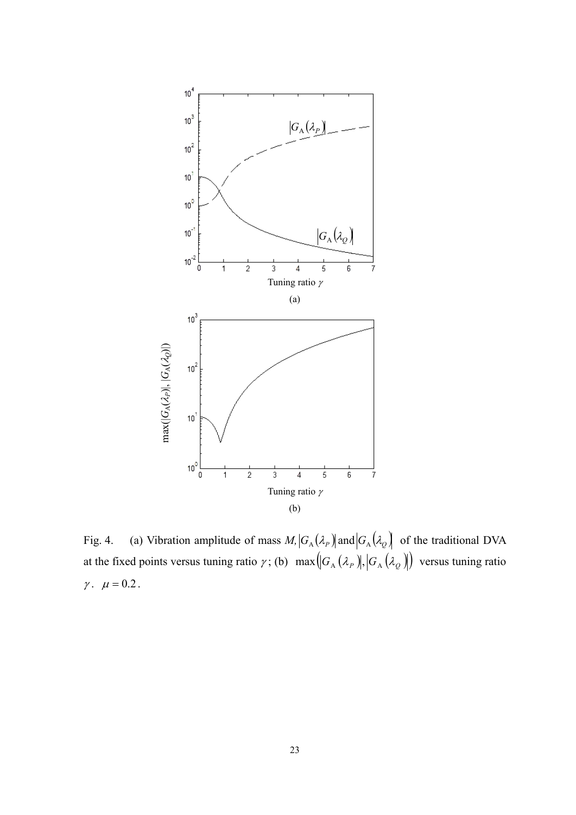

Fig. 4. (a) Vibration amplitude of mass  $M$ ,  $G_A(\lambda_p)$  and  $G_A(\lambda_q)$  of the traditional DVA at the fixed points versus tuning ratio  $\gamma$ ; (b)  $\max(|G_A(\lambda_p)|, |G_A(\lambda_q)|)$  versus tuning ratio  $\gamma$ .  $\mu = 0.2$ .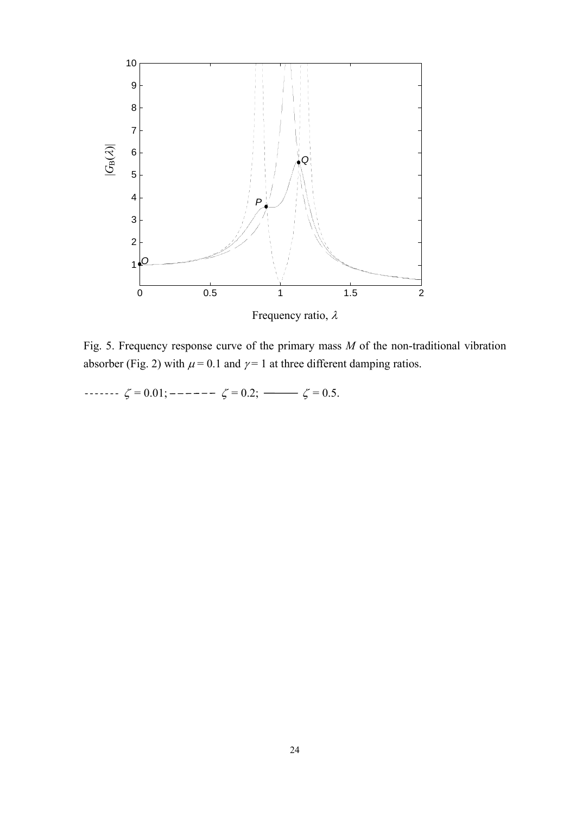

Fig. 5. Frequency response curve of the primary mass *M* of the non-traditional vibration absorber (Fig. 2) with  $\mu$  = 0.1 and  $\gamma$  = 1 at three different damping ratios.

 $\cdots$   $\zeta = 0.01;$   $\cdots$   $\zeta = 0.2;$   $\cdots$   $\zeta = 0.5.$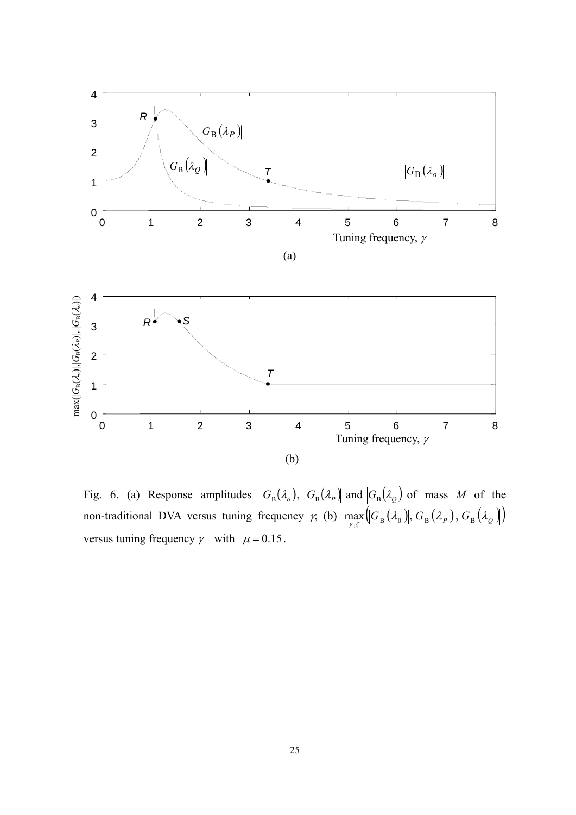

Fig. 6. (a) Response amplitudes  $|G_{\text{B}}(\lambda_o)|, |G_{\text{B}}(\lambda_p)|$  and  $|G_{\text{B}}(\lambda_o)|$  of mass *M* of the non-traditional DVA versus tuning frequency  $\gamma$ , (b)  $\max_{\gamma,\zeta}(|G_{B}(\lambda_{0})|, |G_{B}(\lambda_{P})|, |G_{B}(\lambda_{Q})|)$ versus tuning frequency  $\gamma$  with  $\mu = 0.15$ .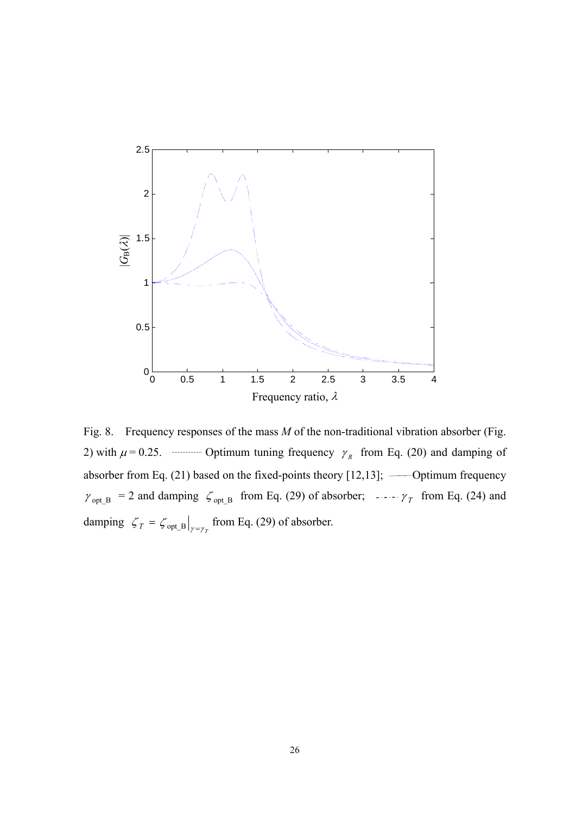

Fig. 8. Frequency responses of the mass *M* of the non-traditional vibration absorber (Fig. 2) with  $\mu$  = 0.25. Optimum tuning frequency  $\gamma_R$  from Eq. (20) and damping of absorber from Eq. (21) based on the fixed-points theory [12,13]; Optimum frequency  $\gamma_{opt_B}$  = 2 and damping  $\zeta_{opt_B}$  from Eq. (29) of absorber;  $\cdots \gamma_T$  from Eq. (24) and damping  $\zeta_T = \zeta_{opt\_B}\big|_{\gamma = \gamma_T}$  from Eq. (29) of absorber.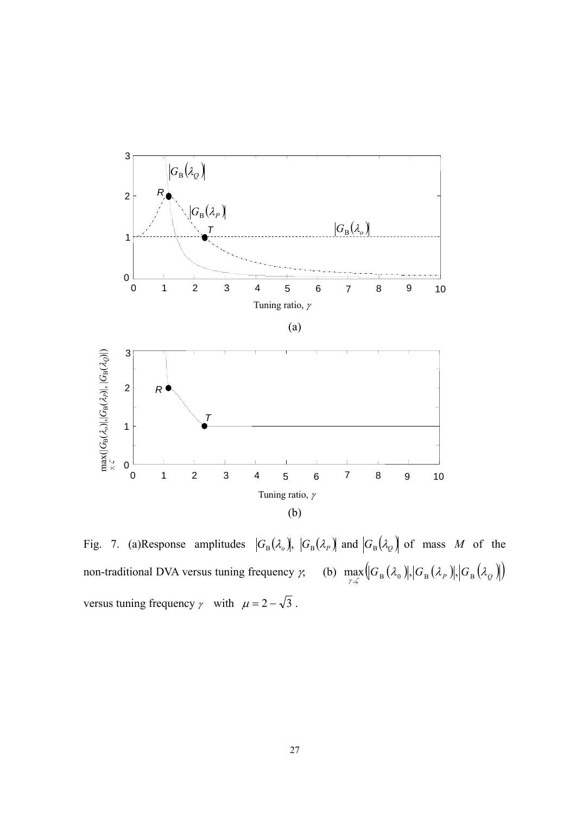

Fig. 7. (a)Response amplitudes  $|G_{\text{B}}(\lambda_o)|, |G_{\text{B}}(\lambda_p)|$  and  $|G_{\text{B}}(\lambda_Q)|$  of mass *M* of the non-traditional DVA versus tuning frequency  $\gamma$ , (b)  $\max_{\gamma,\zeta} ([G_{B}(\lambda_{0})], [G_{B}(\lambda_{P})], [G_{B}(\lambda_{Q})])$ versus tuning frequency  $\gamma$  with  $\mu = 2 - \sqrt{3}$ .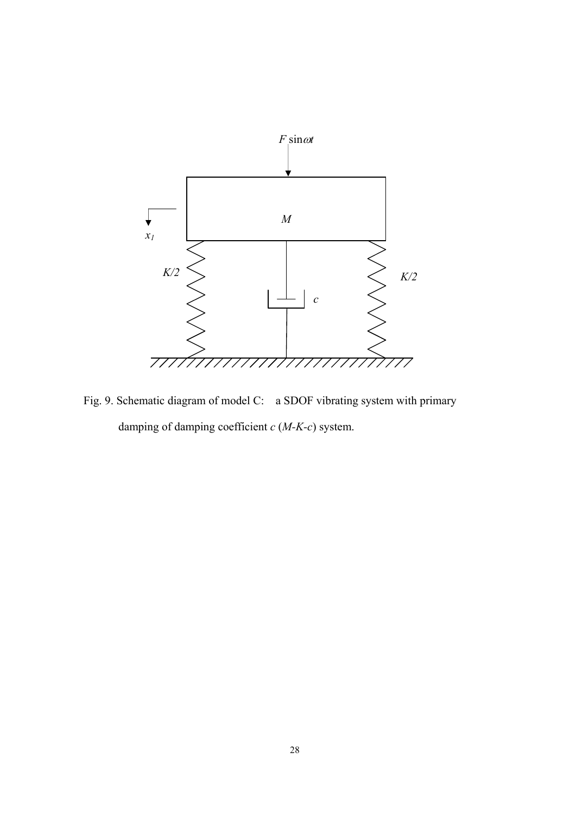

Fig. 9. Schematic diagram of model C: a SDOF vibrating system with primary damping of damping coefficient *c* (*M-K-c*) system.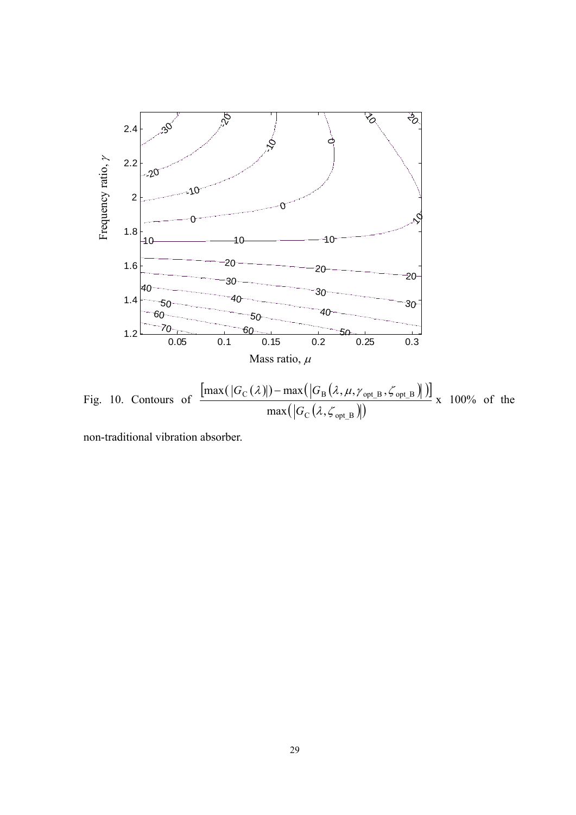

Fig. 10. Contours of  $\frac{\left[\max(|G_{\rm C}(\lambda)|)-\max(|G_{\rm B}(\lambda,\mu,\gamma_{\rm opt_B},\zeta_{\rm opt_B})|\right)]}{\left(\frac{1}{2}\right)^{1/2}}$  $\left(\left|G_{\rm C}(\lambda, \mathcal {L}_{\rm opt~B})\right|\right)$  $\mathrm{C}(\mathcal{N})$  =  $\mathrm{max}(\mathrm{U}_B(\mathcal{N}, \mu, \ell_{optB}, \mathsf{s}_{optB}))$  $max(|G_C(\lambda,$  $\lambda,\zeta$ *G* x 100% of the

non-traditional vibration absorber.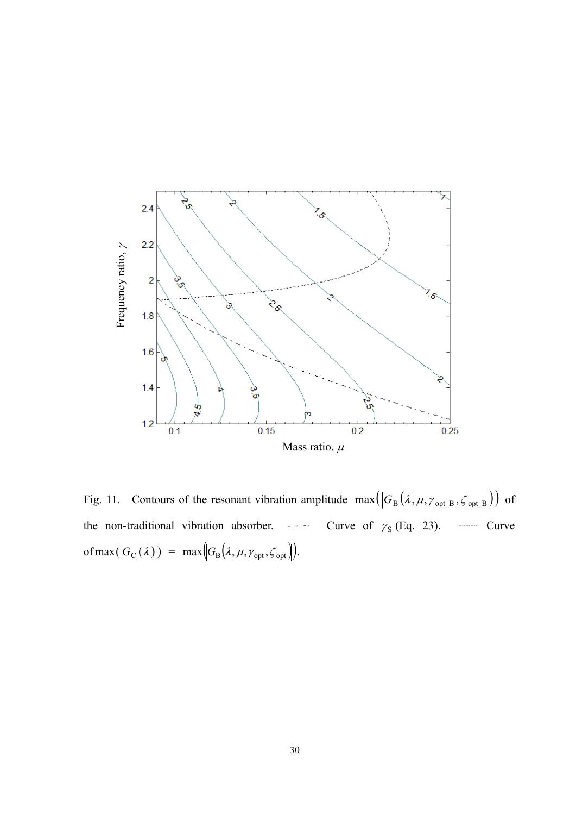

Fig. 11. Contours of the resonant vibration amplitude  $\max(|G_B(\lambda, \mu, \gamma_{opt_B}, \zeta_{opt_B})|)$  of the non-traditional vibration absorber.  $\cdots$  Curve of  $\gamma_s$  (Eq. 23). Curve of max( $|G_C(\lambda)|$ ) = max $\left|G_B(\lambda, \mu, \gamma_{opt}, \zeta_{opt})\right)$ .